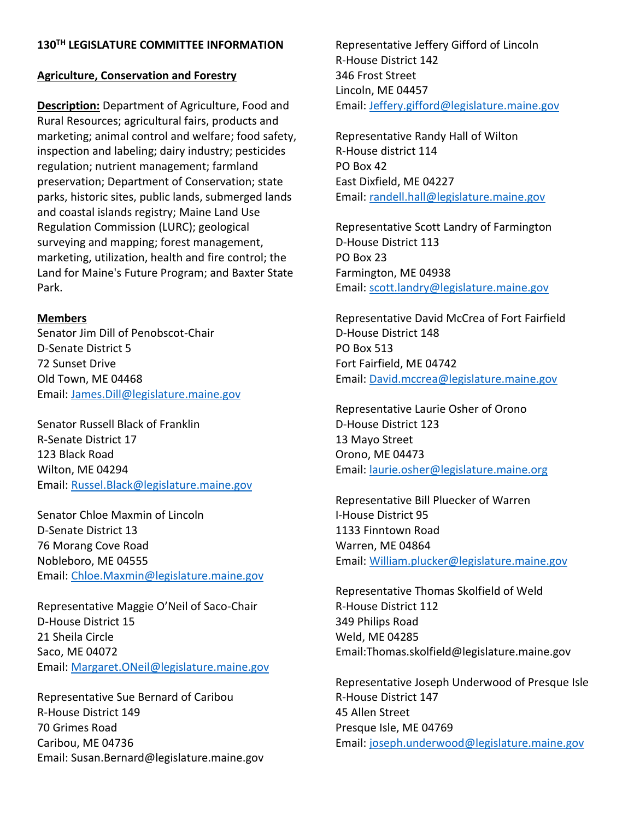# **Agriculture, Conservation and Forestry**

**Description:** Department of Agriculture, Food and Rural Resources; agricultural fairs, products and marketing; animal control and welfare; food safety, inspection and labeling; dairy industry; pesticides regulation; nutrient management; farmland preservation; Department of Conservation; state parks, historic sites, public lands, submerged lands and coastal islands registry; Maine Land Use Regulation Commission (LURC); geological surveying and mapping; forest management, marketing, utilization, health and fire control; the Land for Maine's Future Program; and Baxter State Park.

## **Members**

Senator Jim Dill of Penobscot-Chair D-Senate District 5 72 Sunset Drive Old Town, ME 04468 Email: [James.Dill@legislature.maine.gov](mailto:James.Dill@legislature.maine.gov)

Senator Russell Black of Franklin R-Senate District 17 123 Black Road Wilton, ME 04294 Email: [Russel.Black@legislature.maine.gov](mailto:Russel.Black@legislature.maine.gov)

Senator Chloe Maxmin of Lincoln D-Senate District 13 76 Morang Cove Road Nobleboro, ME 04555 Email: [Chloe.Maxmin@legislature.maine.gov](mailto:Chloe.Maxmin@legislature.maine.gov)

Representative Maggie O'Neil of Saco-Chair D-House District 15 21 Sheila Circle Saco, ME 04072 Email: [Margaret.ONeil@legislature.maine.gov](mailto:Margaret.ONeil@legislature.maine.gov)

Representative Sue Bernard of Caribou R-House District 149 70 Grimes Road Caribou, ME 04736 Email: Susan.Bernard@legislature.maine.gov Representative Jeffery Gifford of Lincoln R-House District 142 346 Frost Street Lincoln, ME 04457 Email[: Jeffery.gifford@legislature.maine.gov](mailto:Jeffery.gifford@legislature.maine.gov)

Representative Randy Hall of Wilton R-House district 114 PO Box 42 East Dixfield, ME 04227 Email[: randell.hall@legislature.maine.gov](mailto:randell.hall@legislature.maine.gov)

Representative Scott Landry of Farmington D-House District 113 PO Box 23 Farmington, ME 04938 Email[: scott.landry@legislature.maine.gov](mailto:scott.landry@legislature.maine.gov)

Representative David McCrea of Fort Fairfield D-House District 148 PO Box 513 Fort Fairfield, ME 04742 Email[: David.mccrea@legislature.maine.gov](mailto:David.mccrea@legislature.maine.gov)

Representative Laurie Osher of Orono D-House District 123 13 Mayo Street Orono, ME 04473 Email[: laurie.osher@legislature.maine.org](mailto:laurie.osher@legislature.maine.org)

Representative Bill Pluecker of Warren I-House District 95 1133 Finntown Road Warren, ME 04864 Email[: William.plucker@legislature.maine.gov](mailto:William.plucker@legislature.maine.gov)

Representative Thomas Skolfield of Weld R-House District 112 349 Philips Road Weld, ME 04285 Email:Thomas.skolfield@legislature.maine.gov

Representative Joseph Underwood of Presque Isle R-House District 147 45 Allen Street Presque Isle, ME 04769 Email[: joseph.underwood@legislature.maine.gov](mailto:joseph.underwood@legislature.maine.gov)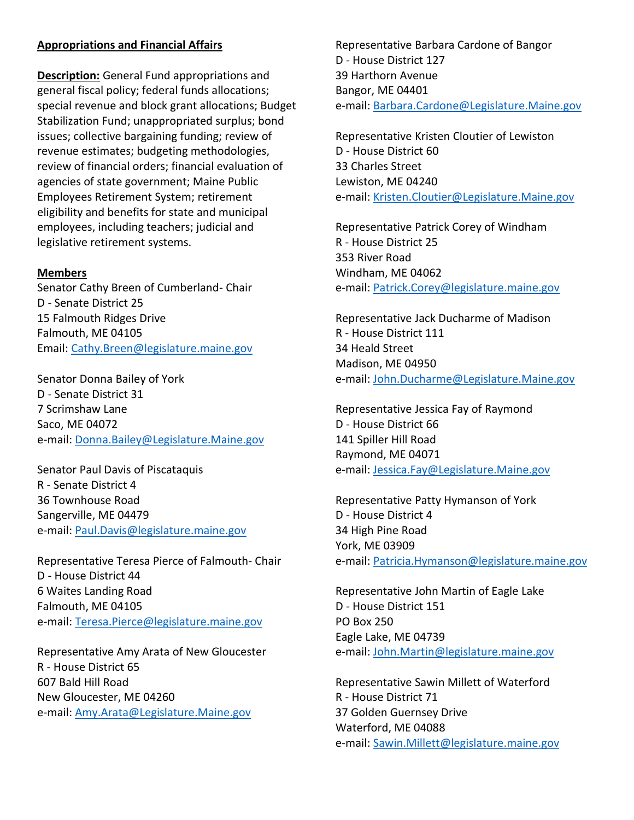## **Appropriations and Financial Affairs**

**Description:** General Fund appropriations and general fiscal policy; federal funds allocations; special revenue and block grant allocations; Budget Stabilization Fund; unappropriated surplus; bond issues; collective bargaining funding; review of revenue estimates; budgeting methodologies, review of financial orders; financial evaluation of agencies of state government; Maine Public Employees Retirement System; retirement eligibility and benefits for state and municipal employees, including teachers; judicial and legislative retirement systems.

### **Members**

Senator Cathy Breen of Cumberland- Chair D - Senate District 25 15 Falmouth Ridges Drive Falmouth, ME 04105 Email: [Cathy.Breen@legislature.maine.gov](mailto:Cathy.Breen@legislature.maine.gov)

Senator Donna Bailey of York D - Senate District 31 7 Scrimshaw Lane Saco, ME 04072 e-mail: [Donna.Bailey@Legislature.Maine.gov](mailto:Donna.Bailey@Legislature.Maine.gov)

Senator Paul Davis of Piscataquis R - Senate District 4 36 Townhouse Road Sangerville, ME 04479 e-mail: [Paul.Davis@legislature.maine.gov](mailto:Paul.Davis@legislature.maine.gov)

Representative Teresa Pierce of Falmouth- Chair D - House District 44 6 Waites Landing Road Falmouth, ME 04105 e-mail: [Teresa.Pierce@legislature.maine.gov](mailto:Teresa.Pierce@legislature.maine.gov)

Representative Amy Arata of New Gloucester R - House District 65 607 Bald Hill Road New Gloucester, ME 04260 e-mail: [Amy.Arata@Legislature.Maine.gov](mailto:Amy.Arata@Legislature.Maine.gov)

Representative Barbara Cardone of Bangor D - House District 127 39 Harthorn Avenue Bangor, ME 04401 e-mail: [Barbara.Cardone@Legislature.Maine.gov](mailto:Barbara.Cardone@Legislature.Maine.gov)

Representative Kristen Cloutier of Lewiston D - House District 60 33 Charles Street Lewiston, ME 04240 e-mail: [Kristen.Cloutier@Legislature.Maine.gov](mailto:Kristen.Cloutier@Legislature.Maine.gov)

Representative Patrick Corey of Windham R - House District 25 353 River Road Windham, ME 04062 e-mail: [Patrick.Corey@legislature.maine.gov](mailto:Patrick.Corey@legislature.maine.gov)

Representative Jack Ducharme of Madison R - House District 111 34 Heald Street Madison, ME 04950 e-mail: [John.Ducharme@Legislature.Maine.gov](mailto:John.Ducharme@Legislature.Maine.gov)

Representative Jessica Fay of Raymond D - House District 66 141 Spiller Hill Road Raymond, ME 04071 e-mail: [Jessica.Fay@Legislature.Maine.gov](mailto:Jessica.Fay@Legislature.Maine.gov)

Representative Patty Hymanson of York D - House District 4 34 High Pine Road York, ME 03909 e-mail: [Patricia.Hymanson@legislature.maine.gov](mailto:Patricia.Hymanson@legislature.maine.gov)

Representative John Martin of Eagle Lake D - House District 151 PO Box 250 Eagle Lake, ME 04739 e-mail: [John.Martin@legislature.maine.gov](mailto:John.Martin@legislature.maine.gov)

Representative Sawin Millett of Waterford R - House District 71 37 Golden Guernsey Drive Waterford, ME 04088 e-mail: [Sawin.Millett@legislature.maine.gov](mailto:Sawin.Millett@legislature.maine.gov)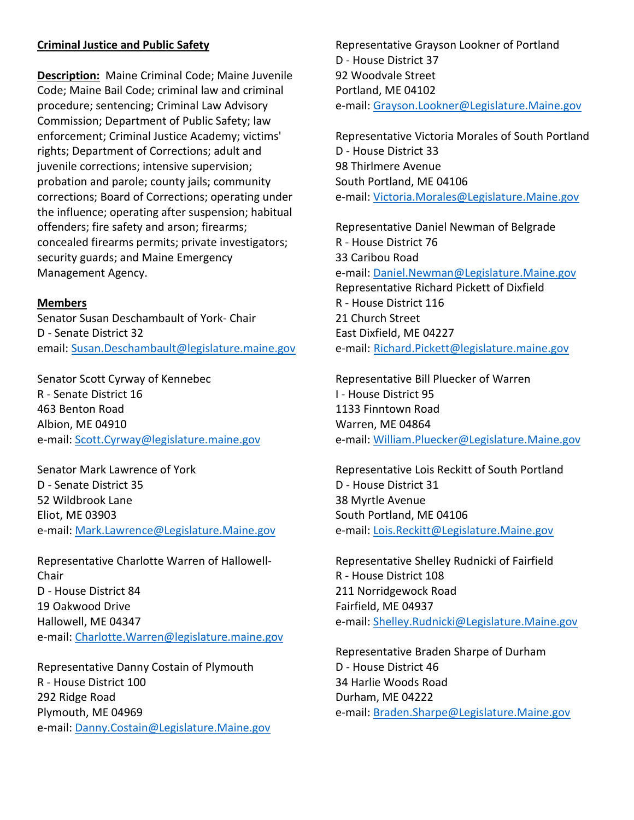## **Criminal Justice and Public Safety**

**Description:** Maine Criminal Code; Maine Juvenile Code; Maine Bail Code; criminal law and criminal procedure; sentencing; Criminal Law Advisory Commission; Department of Public Safety; law enforcement; Criminal Justice Academy; victims' rights; Department of Corrections; adult and juvenile corrections; intensive supervision; probation and parole; county jails; community corrections; Board of Corrections; operating under the influence; operating after suspension; habitual offenders; fire safety and arson; firearms; concealed firearms permits; private investigators; security guards; and Maine Emergency Management Agency.

### **Members**

Senator Susan Deschambault of York- Chair D - Senate District 32 email: [Susan.Deschambault@legislature.maine.gov](mailto:Susan.Deschambault@legislature.maine.gov)

Senator Scott Cyrway of Kennebec R - Senate District 16 463 Benton Road Albion, ME 04910 e-mail: [Scott.Cyrway@legislature.maine.gov](mailto:Scott.Cyrway@legislature.maine.gov)

Senator Mark Lawrence of York D - Senate District 35 52 Wildbrook Lane Eliot, ME 03903 e-mail: [Mark.Lawrence@Legislature.Maine.gov](mailto:Mark.Lawrence@Legislature.Maine.gov)

Representative Charlotte Warren of Hallowell-Chair D - House District 84 19 Oakwood Drive Hallowell, ME 04347 e-mail: [Charlotte.Warren@legislature.maine.gov](mailto:Charlotte.Warren@legislature.maine.gov)

Representative Danny Costain of Plymouth R - House District 100 292 Ridge Road Plymouth, ME 04969 e-mail: [Danny.Costain@Legislature.Maine.gov](mailto:Danny.Costain@Legislature.Maine.gov) Representative Grayson Lookner of Portland D - House District 37 92 Woodvale Street Portland, ME 04102 e-mail: [Grayson.Lookner@Legislature.Maine.gov](mailto:Grayson.Lookner@Legislature.Maine.gov)

Representative Victoria Morales of South Portland D - House District 33 98 Thirlmere Avenue South Portland, ME 04106 e-mail: [Victoria.Morales@Legislature.Maine.gov](mailto:Victoria.Morales@Legislature.Maine.gov)

Representative Daniel Newman of Belgrade R - House District 76 33 Caribou Road e-mail: [Daniel.Newman@Legislature.Maine.gov](mailto:Daniel.Newman@Legislature.Maine.gov) Representative Richard Pickett of Dixfield R - House District 116 21 Church Street East Dixfield, ME 04227 e-mail: [Richard.Pickett@legislature.maine.gov](mailto:Richard.Pickett@legislature.maine.gov)

Representative Bill Pluecker of Warren I - House District 95 1133 Finntown Road Warren, ME 04864 e-mail: [William.Pluecker@Legislature.Maine.gov](mailto:William.Pluecker@Legislature.Maine.gov)

Representative Lois Reckitt of South Portland D - House District 31 38 Myrtle Avenue South Portland, ME 04106 e-mail: [Lois.Reckitt@Legislature.Maine.gov](mailto:Lois.Reckitt@Legislature.Maine.gov)

Representative Shelley Rudnicki of Fairfield R - House District 108 211 Norridgewock Road Fairfield, ME 04937 e-mail: [Shelley.Rudnicki@Legislature.Maine.gov](mailto:Shelley.Rudnicki@Legislature.Maine.gov)

Representative Braden Sharpe of Durham D - House District 46 34 Harlie Woods Road Durham, ME 04222 e-mail: [Braden.Sharpe@Legislature.Maine.gov](mailto:Braden.Sharpe@Legislature.Maine.gov)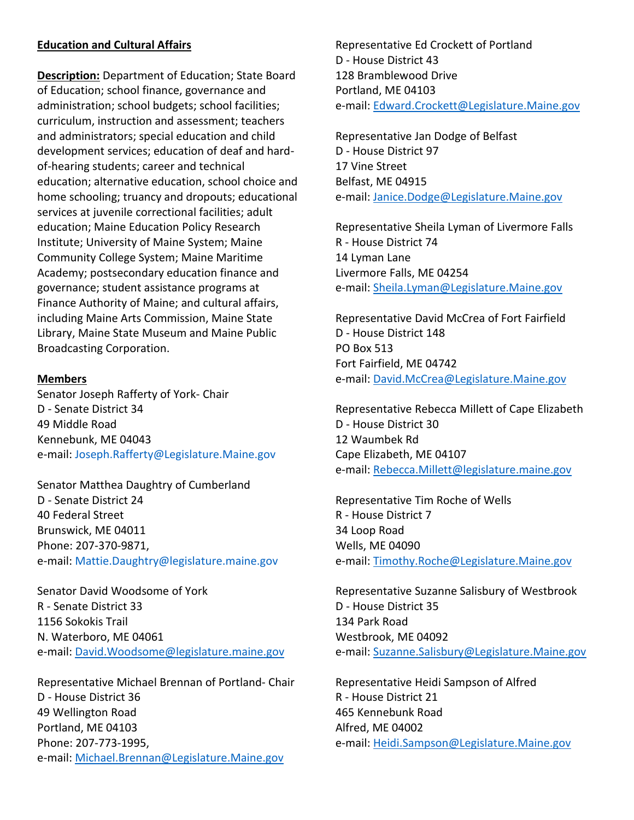## **Education and Cultural Affairs**

**Description:** Department of Education; State Board of Education; school finance, governance and administration; school budgets; school facilities; curriculum, instruction and assessment; teachers and administrators; special education and child development services; education of deaf and hardof-hearing students; career and technical education; alternative education, school choice and home schooling; truancy and dropouts; educational services at juvenile correctional facilities; adult education; Maine Education Policy Research Institute; University of Maine System; Maine Community College System; Maine Maritime Academy; postsecondary education finance and governance; student assistance programs at Finance Authority of Maine; and cultural affairs, including Maine Arts Commission, Maine State Library, Maine State Museum and Maine Public Broadcasting Corporation.

## **Members**

Senator Joseph Rafferty of York- Chair D - Senate District 34 49 Middle Road Kennebunk, ME 04043 e-mail: [Joseph.Rafferty@Legislature.Maine.gov](mailto:Joseph.Rafferty@Legislature.Maine.gov)

Senator Matthea Daughtry of Cumberland D - Senate District 24 40 Federal Street Brunswick, ME 04011 Phone: 207-370-9871, e-mail: [Mattie.Daughtry@legislature.maine.gov](mailto:Mattie.Daughtry@legislature.maine.gov)

Senator David Woodsome of York R - Senate District 33 1156 Sokokis Trail N. Waterboro, ME 04061 e-mail: [David.Woodsome@legislature.maine.gov](mailto:David.Woodsome@legislature.maine.gov)

Representative Michael Brennan of Portland- Chair D - House District 36 49 Wellington Road Portland, ME 04103 Phone: 207-773-1995, e-mail: [Michael.Brennan@Legislature.Maine.gov](mailto:Michael.Brennan@Legislature.Maine.gov)

Representative Ed Crockett of Portland D - House District 43 128 Bramblewood Drive Portland, ME 04103 e-mail: [Edward.Crockett@Legislature.Maine.gov](mailto:Edward.Crockett@Legislature.Maine.gov)

Representative Jan Dodge of Belfast D - House District 97 17 Vine Street Belfast, ME 04915 e-mail: [Janice.Dodge@Legislature.Maine.gov](mailto:Janice.Dodge@Legislature.Maine.gov)

Representative Sheila Lyman of Livermore Falls R - House District 74 14 Lyman Lane Livermore Falls, ME 04254 e-mail: [Sheila.Lyman@Legislature.Maine.gov](mailto:Sheila.Lyman@Legislature.Maine.gov)

Representative David McCrea of Fort Fairfield D - House District 148 PO Box 513 Fort Fairfield, ME 04742 e-mail: [David.McCrea@Legislature.Maine.gov](mailto:David.McCrea@Legislature.Maine.gov)

Representative Rebecca Millett of Cape Elizabeth D - House District 30 12 Waumbek Rd Cape Elizabeth, ME 04107 e-mail: [Rebecca.Millett@legislature.maine.gov](mailto:Rebecca.Millett@legislature.maine.gov)

Representative Tim Roche of Wells R - House District 7 34 Loop Road Wells, ME 04090 e-mail: [Timothy.Roche@Legislature.Maine.gov](mailto:Timothy.Roche@Legislature.Maine.gov)

Representative Suzanne Salisbury of Westbrook D - House District 35 134 Park Road Westbrook, ME 04092 e-mail: [Suzanne.Salisbury@Legislature.Maine.gov](mailto:Suzanne.Salisbury@Legislature.Maine.gov)

Representative Heidi Sampson of Alfred R - House District 21 465 Kennebunk Road Alfred, ME 04002 e-mail: [Heidi.Sampson@Legislature.Maine.gov](mailto:Heidi.Sampson@Legislature.Maine.gov)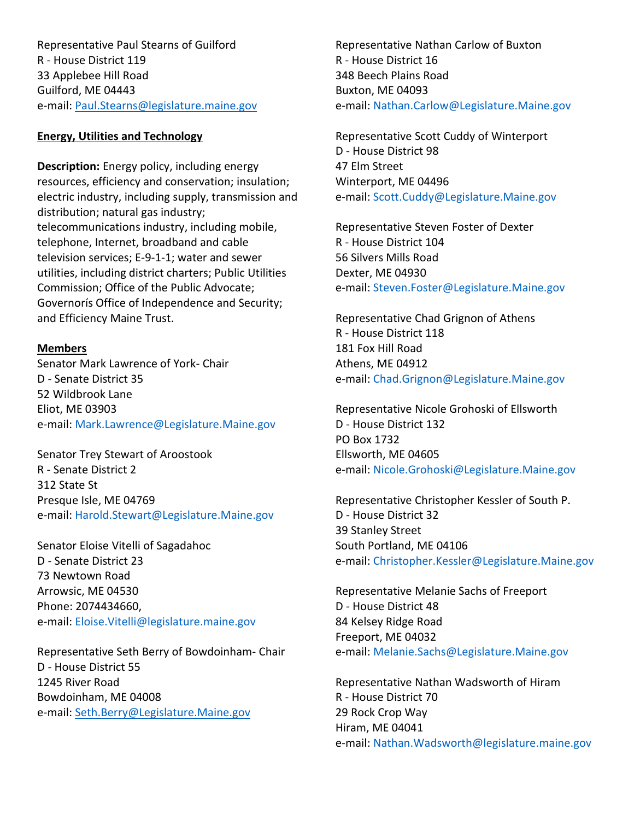Representative Paul Stearns of Guilford R - House District 119 33 Applebee Hill Road Guilford, ME 04443 e-mail: [Paul.Stearns@legislature.maine.gov](mailto:Paul.Stearns@legislature.maine.gov)

### **Energy, Utilities and Technology**

**Description:** Energy policy, including energy resources, efficiency and conservation; insulation; electric industry, including supply, transmission and distribution; natural gas industry; telecommunications industry, including mobile, telephone, Internet, broadband and cable television services; E-9-1-1; water and sewer utilities, including district charters; Public Utilities Commission; Office of the Public Advocate; Governorís Office of Independence and Security; and Efficiency Maine Trust.

#### **Members**

Senator Mark Lawrence of York- Chair D - Senate District 35 52 Wildbrook Lane Eliot, ME 03903 e-mail: [Mark.Lawrence@Legislature.Maine.gov](mailto:Mark.Lawrence@Legislature.Maine.gov)

Senator Trey Stewart of Aroostook R - Senate District 2 312 State St Presque Isle, ME 04769 e-mail: [Harold.Stewart@Legislature.Maine.gov](mailto:Harold.Stewart@Legislature.Maine.gov)

Senator Eloise Vitelli of Sagadahoc D - Senate District 23 73 Newtown Road Arrowsic, ME 04530 Phone: 2074434660, e-mail: [Eloise.Vitelli@legislature.maine.gov](mailto:Eloise.Vitelli@legislature.maine.gov)

Representative Seth Berry of Bowdoinham- Chair D - House District 55 1245 River Road Bowdoinham, ME 04008 e-mail: [Seth.Berry@Legislature.Maine.gov](mailto:Seth.Berry@Legislature.Maine.gov)

Representative Nathan Carlow of Buxton R - House District 16 348 Beech Plains Road Buxton, ME 04093 e-mail: [Nathan.Carlow@Legislature.Maine.gov](mailto:Nathan.Carlow@Legislature.Maine.gov)

Representative Scott Cuddy of Winterport D - House District 98 47 Elm Street Winterport, ME 04496 e-mail: [Scott.Cuddy@Legislature.Maine.gov](mailto:Scott.Cuddy@Legislature.Maine.gov)

Representative Steven Foster of Dexter R - House District 104 56 Silvers Mills Road Dexter, ME 04930 e-mail: [Steven.Foster@Legislature.Maine.gov](mailto:Steven.Foster@Legislature.Maine.gov)

Representative Chad Grignon of Athens R - House District 118 181 Fox Hill Road Athens, ME 04912 e-mail: [Chad.Grignon@Legislature.Maine.gov](mailto:Chad.Grignon@Legislature.Maine.gov)

Representative Nicole Grohoski of Ellsworth D - House District 132 PO Box 1732 Ellsworth, ME 04605 e-mail: [Nicole.Grohoski@Legislature.Maine.gov](mailto:Nicole.Grohoski@Legislature.Maine.gov)

Representative Christopher Kessler of South P. D - House District 32 39 Stanley Street South Portland, ME 04106 e-mail: [Christopher.Kessler@Legislature.Maine.gov](mailto:Christopher.Kessler@Legislature.Maine.gov)

Representative Melanie Sachs of Freeport D - House District 48 84 Kelsey Ridge Road Freeport, ME 04032 e-mail: [Melanie.Sachs@Legislature.Maine.gov](mailto:Melanie.Sachs@Legislature.Maine.gov)

Representative Nathan Wadsworth of Hiram R - House District 70 29 Rock Crop Way Hiram, ME 04041 e-mail: [Nathan.Wadsworth@legislature.maine.gov](mailto:Nathan.Wadsworth@legislature.maine.gov)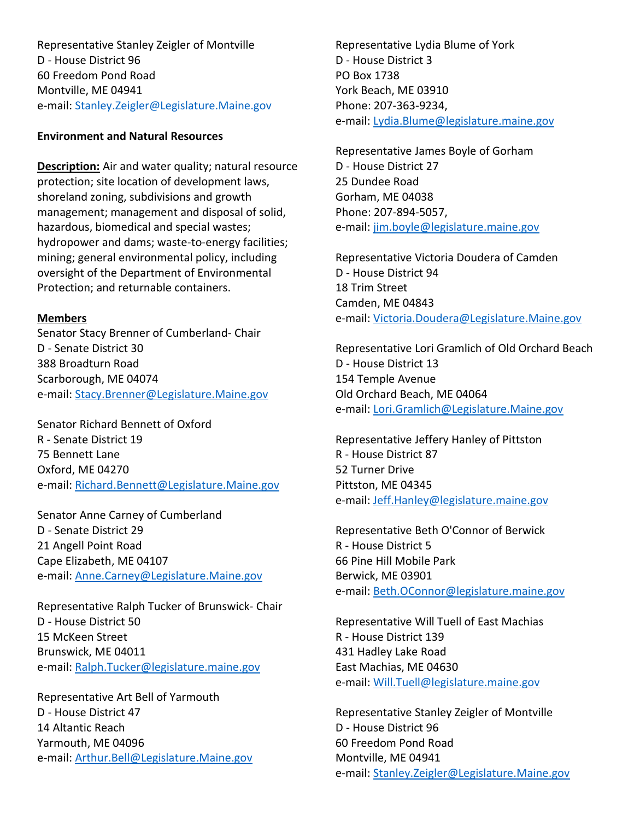Representative Stanley Zeigler of Montville D - House District 96 60 Freedom Pond Road Montville, ME 04941 e-mail: [Stanley.Zeigler@Legislature.Maine.gov](mailto:Stanley.Zeigler@Legislature.Maine.gov)

#### **Environment and Natural Resources**

**Description:** Air and water quality; natural resource protection; site location of development laws, shoreland zoning, subdivisions and growth management; management and disposal of solid, hazardous, biomedical and special wastes; hydropower and dams; waste-to-energy facilities; mining; general environmental policy, including oversight of the Department of Environmental Protection; and returnable containers.

#### **Members**

Senator Stacy Brenner of Cumberland- Chair D - Senate District 30 388 Broadturn Road Scarborough, ME 04074 e-mail: [Stacy.Brenner@Legislature.Maine.gov](mailto:Stacy.Brenner@Legislature.Maine.gov)

Senator Richard Bennett of Oxford R - Senate District 19 75 Bennett Lane Oxford, ME 04270 e-mail: [Richard.Bennett@Legislature.Maine.gov](mailto:Richard.Bennett@Legislature.Maine.gov)

Senator Anne Carney of Cumberland D - Senate District 29 21 Angell Point Road Cape Elizabeth, ME 04107 e-mail: [Anne.Carney@Legislature.Maine.gov](mailto:Anne.Carney@Legislature.Maine.gov)

Representative Ralph Tucker of Brunswick- Chair D - House District 50 15 McKeen Street Brunswick, ME 04011 e-mail: [Ralph.Tucker@legislature.maine.gov](mailto:Ralph.Tucker@legislature.maine.gov)

Representative Art Bell of Yarmouth D - House District 47 14 Altantic Reach Yarmouth, ME 04096 e-mail: [Arthur.Bell@Legislature.Maine.gov](mailto:Arthur.Bell@Legislature.Maine.gov) Representative Lydia Blume of York D - House District 3 PO Box 1738 York Beach, ME 03910 Phone: 207-363-9234, e-mail: [Lydia.Blume@legislature.maine.gov](mailto:Lydia.Blume@legislature.maine.gov)

Representative James Boyle of Gorham D - House District 27 25 Dundee Road Gorham, ME 04038 Phone: 207-894-5057, e-mail: [jim.boyle@legislature.maine.gov](mailto:jim.boyle@legislature.maine.gov)

Representative Victoria Doudera of Camden D - House District 94 18 Trim Street Camden, ME 04843 e-mail: [Victoria.Doudera@Legislature.Maine.gov](mailto:Victoria.Doudera@Legislature.Maine.gov)

Representative Lori Gramlich of Old Orchard Beach D - House District 13 154 Temple Avenue Old Orchard Beach, ME 04064 e-mail: [Lori.Gramlich@Legislature.Maine.gov](mailto:Lori.Gramlich@Legislature.Maine.gov)

Representative Jeffery Hanley of Pittston R - House District 87 52 Turner Drive Pittston, ME 04345 e-mail: [Jeff.Hanley@legislature.maine.gov](mailto:Jeff.Hanley@legislature.maine.gov)

Representative Beth O'Connor of Berwick R - House District 5 66 Pine Hill Mobile Park Berwick, ME 03901 e-mail: [Beth.OConnor@legislature.maine.gov](mailto:Beth.OConnor@legislature.maine.gov)

Representative Will Tuell of East Machias R - House District 139 431 Hadley Lake Road East Machias, ME 04630 e-mail: [Will.Tuell@legislature.maine.gov](mailto:Will.Tuell@legislature.maine.gov)

Representative Stanley Zeigler of Montville D - House District 96 60 Freedom Pond Road Montville, ME 04941 e-mail: [Stanley.Zeigler@Legislature.Maine.gov](mailto:Stanley.Zeigler@Legislature.Maine.gov)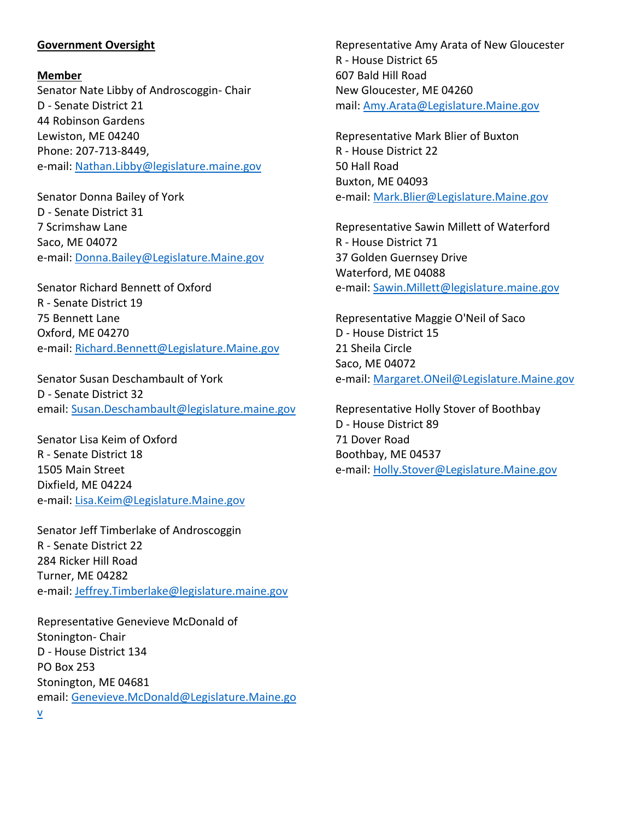## **Government Oversight**

**Member** Senator Nate Libby of Androscoggin- Chair D - Senate District 21 44 Robinson Gardens Lewiston, ME 04240 Phone: 207-713-8449, e-mail: [Nathan.Libby@legislature.maine.gov](mailto:Nathan.Libby@legislature.maine.gov)

Senator Donna Bailey of York D - Senate District 31 7 Scrimshaw Lane Saco, ME 04072 e-mail: [Donna.Bailey@Legislature.Maine.gov](mailto:Donna.Bailey@Legislature.Maine.gov)

Senator Richard Bennett of Oxford R - Senate District 19 75 Bennett Lane Oxford, ME 04270 e-mail: [Richard.Bennett@Legislature.Maine.gov](mailto:Richard.Bennett@Legislature.Maine.gov)

Senator Susan Deschambault of York D - Senate District 32 email: [Susan.Deschambault@legislature.maine.gov](mailto:Susan.Deschambault@legislature.maine.gov)

Senator Lisa Keim of Oxford R - Senate District 18 1505 Main Street Dixfield, ME 04224 e-mail: [Lisa.Keim@Legislature.Maine.gov](mailto:Lisa.Keim@Legislature.Maine.gov)

Senator Jeff Timberlake of Androscoggin R - Senate District 22 284 Ricker Hill Road Turner, ME 04282 e-mail: [Jeffrey.Timberlake@legislature.maine.gov](mailto:Jeffrey.Timberlake@legislature.maine.gov)

Representative Genevieve McDonald of Stonington- Chair D - House District 134 PO Box 253 Stonington, ME 04681 email: [Genevieve.McDonald@Legislature.Maine.go](mailto:Genevieve.McDonald@Legislature.Maine.gov) [v](mailto:Genevieve.McDonald@Legislature.Maine.gov)

Representative Amy Arata of New Gloucester R - House District 65 607 Bald Hill Road New Gloucester, ME 04260 mail: [Amy.Arata@Legislature.Maine.gov](mailto:Amy.Arata@Legislature.Maine.gov)

Representative Mark Blier of Buxton R - House District 22 50 Hall Road Buxton, ME 04093 e-mail: [Mark.Blier@Legislature.Maine.gov](mailto:Mark.Blier@Legislature.Maine.gov)

Representative Sawin Millett of Waterford R - House District 71 37 Golden Guernsey Drive Waterford, ME 04088 e-mail: [Sawin.Millett@legislature.maine.gov](mailto:Sawin.Millett@legislature.maine.gov)

Representative Maggie O'Neil of Saco D - House District 15 21 Sheila Circle Saco, ME 04072 e-mail: [Margaret.ONeil@Legislature.Maine.gov](mailto:Margaret.ONeil@Legislature.Maine.gov)

Representative Holly Stover of Boothbay D - House District 89 71 Dover Road Boothbay, ME 04537 e-mail: [Holly.Stover@Legislature.Maine.gov](mailto:Holly.Stover@Legislature.Maine.gov)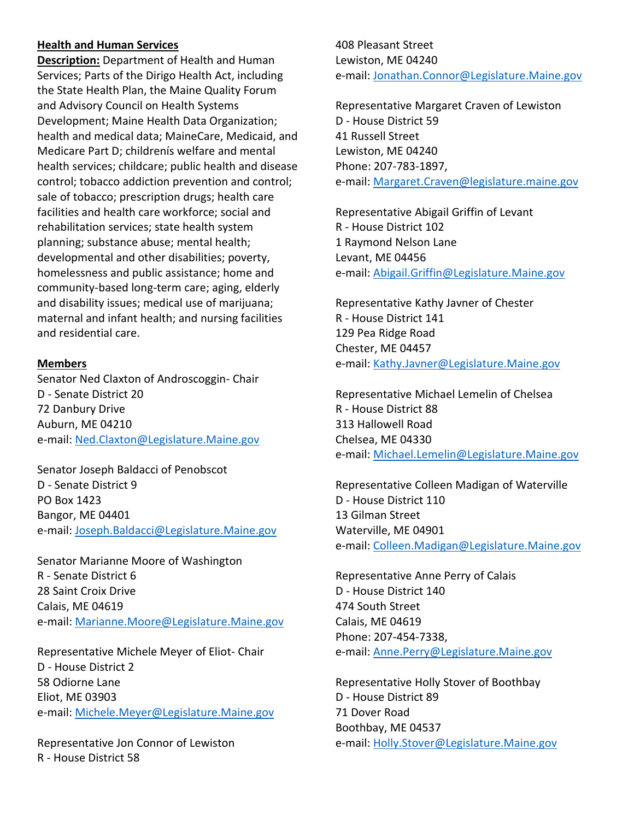## **Health and Human Services**

**Description:** Department of Health and Human Services; Parts of the Dirigo Health Act, including the State Health Plan, the Maine Quality Forum and Advisory Council on Health Systems Development; Maine Health Data Organization; health and medical data; MaineCare, Medicaid, and Medicare Part D; childrenís welfare and mental health services; childcare; public health and disease control; tobacco addiction prevention and control; sale of tobacco; prescription drugs; health care facilities and health care workforce; social and rehabilitation services; state health system planning; substance abuse; mental health; developmental and other disabilities; poverty, homelessness and public assistance; home and community-based long-term care; aging, elderly and disability issues; medical use of marijuana; maternal and infant health; and nursing facilities and residential care.

## **Members**

Senator Ned Claxton of Androscoggin- Chair D - Senate District 20 72 Danbury Drive Auburn, ME 04210 e-mail: [Ned.Claxton@Legislature.Maine.gov](mailto:Ned.Claxton@Legislature.Maine.gov)

Senator Joseph Baldacci of Penobscot D - Senate District 9 PO Box 1423 Bangor, ME 04401 e-mail: [Joseph.Baldacci@Legislature.Maine.gov](mailto:Joseph.Baldacci@Legislature.Maine.gov)

Senator Marianne Moore of Washington R - Senate District 6 28 Saint Croix Drive Calais, ME 04619 e-mail: [Marianne.Moore@Legislature.Maine.gov](mailto:Marianne.Moore@Legislature.Maine.gov)

Representative Michele Meyer of Eliot- Chair D - House District 2 58 Odiorne Lane Eliot, ME 03903 e-mail: [Michele.Meyer@Legislature.Maine.gov](mailto:Michele.Meyer@Legislature.Maine.gov)

Representative Jon Connor of Lewiston R - House District 58

408 Pleasant Street Lewiston, ME 04240 e-mail: [Jonathan.Connor@Legislature.Maine.gov](mailto:Jonathan.Connor@Legislature.Maine.gov)

Representative Margaret Craven of Lewiston D - House District 59 41 Russell Street Lewiston, ME 04240 Phone: 207-783-1897, e-mail: [Margaret.Craven@legislature.maine.gov](mailto:Margaret.Craven@legislature.maine.gov)

Representative Abigail Griffin of Levant R - House District 102 1 Raymond Nelson Lane Levant, ME 04456 e-mail: [Abigail.Griffin@Legislature.Maine.gov](mailto:Abigail.Griffin@Legislature.Maine.gov)

Representative Kathy Javner of Chester R - House District 141 129 Pea Ridge Road Chester, ME 04457 e-mail: [Kathy.Javner@Legislature.Maine.gov](mailto:Kathy.Javner@Legislature.Maine.gov)

Representative Michael Lemelin of Chelsea R - House District 88 313 Hallowell Road Chelsea, ME 04330 e-mail: [Michael.Lemelin@Legislature.Maine.gov](mailto:Michael.Lemelin@Legislature.Maine.gov)

Representative Colleen Madigan of Waterville D - House District 110 13 Gilman Street Waterville, ME 04901 e-mail: [Colleen.Madigan@Legislature.Maine.gov](mailto:Colleen.Madigan@Legislature.Maine.gov)

Representative Anne Perry of Calais D - House District 140 474 South Street Calais, ME 04619 Phone: 207-454-7338, e-mail: [Anne.Perry@Legislature.Maine.gov](mailto:Anne.Perry@Legislature.Maine.gov)

Representative Holly Stover of Boothbay D - House District 89 71 Dover Road Boothbay, ME 04537 e-mail: [Holly.Stover@Legislature.Maine.gov](mailto:Holly.Stover@Legislature.Maine.gov)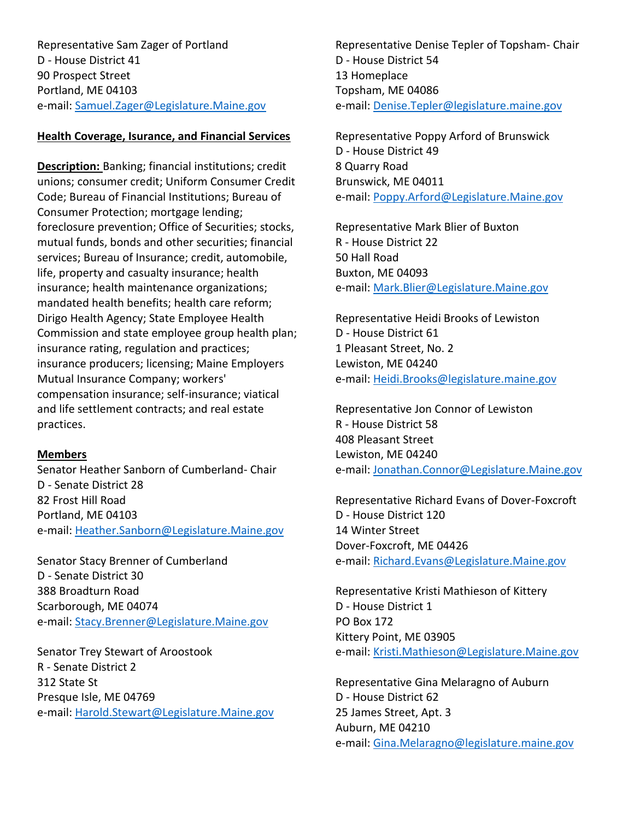Representative Sam Zager of Portland D - House District 41 90 Prospect Street Portland, ME 04103 e-mail: [Samuel.Zager@Legislature.Maine.gov](mailto:Samuel.Zager@Legislature.Maine.gov)

### **Health Coverage, Isurance, and Financial Services**

**Description:** Banking; financial institutions; credit unions; consumer credit; Uniform Consumer Credit Code; Bureau of Financial Institutions; Bureau of Consumer Protection; mortgage lending; foreclosure prevention; Office of Securities; stocks, mutual funds, bonds and other securities; financial services; Bureau of Insurance; credit, automobile, life, property and casualty insurance; health insurance; health maintenance organizations; mandated health benefits; health care reform; Dirigo Health Agency; State Employee Health Commission and state employee group health plan; insurance rating, regulation and practices; insurance producers; licensing; Maine Employers Mutual Insurance Company; workers' compensation insurance; self-insurance; viatical and life settlement contracts; and real estate practices.

#### **Members**

Senator Heather Sanborn of Cumberland- Chair D - Senate District 28 82 Frost Hill Road Portland, ME 04103 e-mail: [Heather.Sanborn@Legislature.Maine.gov](mailto:Heather.Sanborn@Legislature.Maine.gov)

Senator Stacy Brenner of Cumberland D - Senate District 30 388 Broadturn Road Scarborough, ME 04074 e-mail: [Stacy.Brenner@Legislature.Maine.gov](mailto:Stacy.Brenner@Legislature.Maine.gov)

Senator Trey Stewart of Aroostook R - Senate District 2 312 State St Presque Isle, ME 04769 e-mail: [Harold.Stewart@Legislature.Maine.gov](mailto:Harold.Stewart@Legislature.Maine.gov) Representative Denise Tepler of Topsham- Chair D - House District 54 13 Homeplace Topsham, ME 04086 e-mail: [Denise.Tepler@legislature.maine.gov](mailto:Denise.Tepler@legislature.maine.gov)

Representative Poppy Arford of Brunswick D - House District 49 8 Quarry Road Brunswick, ME 04011 e-mail: [Poppy.Arford@Legislature.Maine.gov](mailto:Poppy.Arford@Legislature.Maine.gov)

Representative Mark Blier of Buxton R - House District 22 50 Hall Road Buxton, ME 04093 e-mail: [Mark.Blier@Legislature.Maine.gov](mailto:Mark.Blier@Legislature.Maine.gov)

Representative Heidi Brooks of Lewiston D - House District 61 1 Pleasant Street, No. 2 Lewiston, ME 04240 e-mail: [Heidi.Brooks@legislature.maine.gov](mailto:Heidi.Brooks@legislature.maine.gov)

Representative Jon Connor of Lewiston R - House District 58 408 Pleasant Street Lewiston, ME 04240 e-mail: [Jonathan.Connor@Legislature.Maine.gov](mailto:Jonathan.Connor@Legislature.Maine.gov)

Representative Richard Evans of Dover-Foxcroft D - House District 120 14 Winter Street Dover-Foxcroft, ME 04426 e-mail: [Richard.Evans@Legislature.Maine.gov](mailto:Richard.Evans@Legislature.Maine.gov)

Representative Kristi Mathieson of Kittery D - House District 1 PO Box 172 Kittery Point, ME 03905 e-mail: [Kristi.Mathieson@Legislature.Maine.gov](mailto:Kristi.Mathieson@Legislature.Maine.gov)

Representative Gina Melaragno of Auburn D - House District 62 25 James Street, Apt. 3 Auburn, ME 04210 e-mail: [Gina.Melaragno@legislature.maine.gov](mailto:Gina.Melaragno@legislature.maine.gov)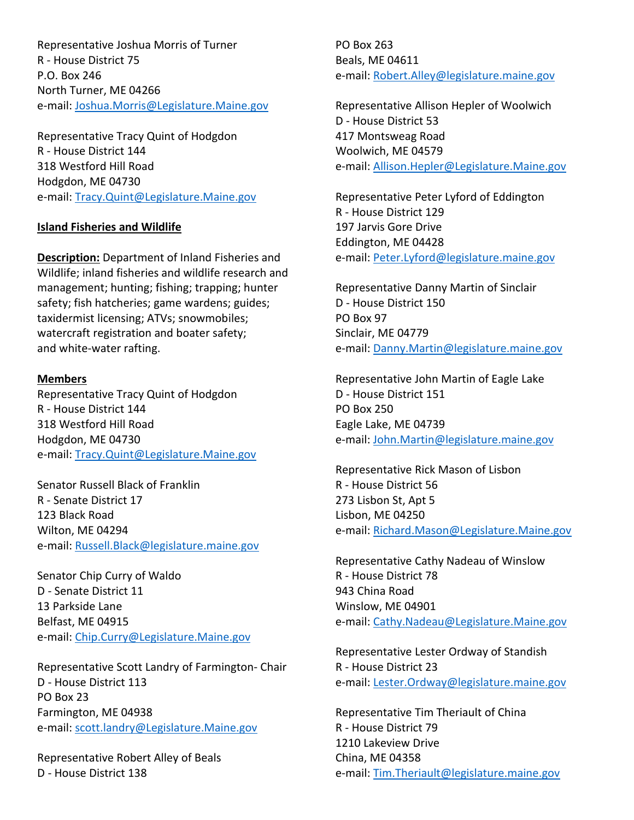Representative Joshua Morris of Turner R - House District 75 P.O. Box 246 North Turner, ME 04266 e-mail: [Joshua.Morris@Legislature.Maine.gov](mailto:Joshua.Morris@Legislature.Maine.gov)

Representative Tracy Quint of Hodgdon R - House District 144 318 Westford Hill Road Hodgdon, ME 04730 e-mail: [Tracy.Quint@Legislature.Maine.gov](mailto:Tracy.Quint@Legislature.Maine.gov)

### **Island Fisheries and Wildlife**

**Description:** Department of Inland Fisheries and Wildlife; inland fisheries and wildlife research and management; hunting; fishing; trapping; hunter safety; fish hatcheries; game wardens; guides; taxidermist licensing; ATVs; snowmobiles; watercraft registration and boater safety; and white-water rafting.

#### **Members**

Representative Tracy Quint of Hodgdon R - House District 144 318 Westford Hill Road Hodgdon, ME 04730 e-mail: [Tracy.Quint@Legislature.Maine.gov](mailto:Tracy.Quint@Legislature.Maine.gov)

Senator Russell Black of Franklin R - Senate District 17 123 Black Road Wilton, ME 04294 e-mail: [Russell.Black@legislature.maine.gov](mailto:Russell.Black@legislature.maine.gov)

Senator Chip Curry of Waldo D - Senate District 11 13 Parkside Lane Belfast, ME 04915 e-mail: [Chip.Curry@Legislature.Maine.gov](mailto:Chip.Curry@Legislature.Maine.gov)

Representative Scott Landry of Farmington- Chair D - House District 113 PO Box 23 Farmington, ME 04938 e-mail: [scott.landry@Legislature.Maine.gov](mailto:scott.landry@Legislature.Maine.gov)

Representative Robert Alley of Beals D - House District 138

PO Box 263 Beals, ME 04611 e-mail: [Robert.Alley@legislature.maine.gov](mailto:Robert.Alley@legislature.maine.gov)

Representative Allison Hepler of Woolwich D - House District 53 417 Montsweag Road Woolwich, ME 04579 e-mail: [Allison.Hepler@Legislature.Maine.gov](mailto:Allison.Hepler@Legislature.Maine.gov)

Representative Peter Lyford of Eddington R - House District 129 197 Jarvis Gore Drive Eddington, ME 04428 e-mail: [Peter.Lyford@legislature.maine.gov](mailto:Peter.Lyford@legislature.maine.gov)

Representative Danny Martin of Sinclair D - House District 150 PO Box 97 Sinclair, ME 04779 e-mail: [Danny.Martin@legislature.maine.gov](mailto:Danny.Martin@legislature.maine.gov)

Representative John Martin of Eagle Lake D - House District 151 PO Box 250 Eagle Lake, ME 04739 e-mail: [John.Martin@legislature.maine.gov](mailto:John.Martin@legislature.maine.gov)

Representative Rick Mason of Lisbon R - House District 56 273 Lisbon St, Apt 5 Lisbon, ME 04250 e-mail: [Richard.Mason@Legislature.Maine.gov](mailto:Richard.Mason@Legislature.Maine.gov)

Representative Cathy Nadeau of Winslow R - House District 78 943 China Road Winslow, ME 04901 e-mail: [Cathy.Nadeau@Legislature.Maine.gov](mailto:Cathy.Nadeau@Legislature.Maine.gov)

Representative Lester Ordway of Standish R - House District 23 e-mail: [Lester.Ordway@legislature.maine.gov](mailto:Lester.Ordway@legislature.maine.gov)

Representative Tim Theriault of China R - House District 79 1210 Lakeview Drive China, ME 04358 e-mail: [Tim.Theriault@legislature.maine.gov](mailto:Tim.Theriault@legislature.maine.gov)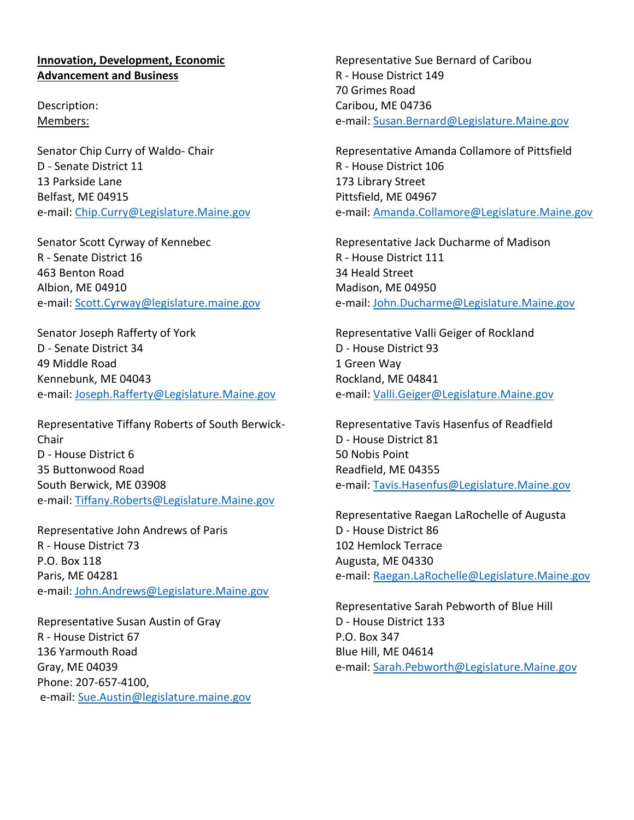## **Innovation, Development, Economic Advancement and Business**

Description: Members:

Senator Chip Curry of Waldo- Chair D - Senate District 11 13 Parkside Lane Belfast, ME 04915 e-mail: [Chip.Curry@Legislature.Maine.gov](mailto:Chip.Curry@Legislature.Maine.gov)

Senator Scott Cyrway of Kennebec R - Senate District 16 463 Benton Road Albion, ME 04910 e-mail: [Scott.Cyrway@legislature.maine.gov](mailto:Scott.Cyrway@legislature.maine.gov)

Senator Joseph Rafferty of York D - Senate District 34 49 Middle Road Kennebunk, ME 04043 e-mail: [Joseph.Rafferty@Legislature.Maine.gov](mailto:Joseph.Rafferty@Legislature.Maine.gov)

Representative Tiffany Roberts of South Berwick-Chair D - House District 6 35 Buttonwood Road South Berwick, ME 03908 e-mail: [Tiffany.Roberts@Legislature.Maine.gov](mailto:Tiffany.Roberts@Legislature.Maine.gov)

Representative John Andrews of Paris R - House District 73 P.O. Box 118 Paris, ME 04281 e-mail: [John.Andrews@Legislature.Maine.gov](mailto:John.Andrews@Legislature.Maine.gov)

Representative Susan Austin of Gray R - House District 67 136 Yarmouth Road Gray, ME 04039 Phone: 207-657-4100, e-mail: [Sue.Austin@legislature.maine.gov](mailto:Sue.Austin@legislature.maine.gov) Representative Sue Bernard of Caribou R - House District 149 70 Grimes Road Caribou, ME 04736 e-mail: [Susan.Bernard@Legislature.Maine.gov](mailto:Susan.Bernard@Legislature.Maine.gov)

Representative Amanda Collamore of Pittsfield R - House District 106 173 Library Street Pittsfield, ME 04967 e-mail: [Amanda.Collamore@Legislature.Maine.gov](mailto:Amanda.Collamore@Legislature.Maine.gov)

Representative Jack Ducharme of Madison R - House District 111 34 Heald Street Madison, ME 04950 e-mail: [John.Ducharme@Legislature.Maine.gov](mailto:John.Ducharme@Legislature.Maine.gov)

Representative Valli Geiger of Rockland D - House District 93 1 Green Way Rockland, ME 04841 e-mail: [Valli.Geiger@Legislature.Maine.gov](mailto:Valli.Geiger@Legislature.Maine.gov)

Representative Tavis Hasenfus of Readfield D - House District 81 50 Nobis Point Readfield, ME 04355 e-mail: [Tavis.Hasenfus@Legislature.Maine.gov](mailto:Tavis.Hasenfus@Legislature.Maine.gov)

Representative Raegan LaRochelle of Augusta D - House District 86 102 Hemlock Terrace Augusta, ME 04330 e-mail: [Raegan.LaRochelle@Legislature.Maine.gov](mailto:Raegan.LaRochelle@Legislature.Maine.gov)

Representative Sarah Pebworth of Blue Hill D - House District 133 P.O. Box 347 Blue Hill, ME 04614 e-mail: [Sarah.Pebworth@Legislature.Maine.gov](mailto:Sarah.Pebworth@Legislature.Maine.gov)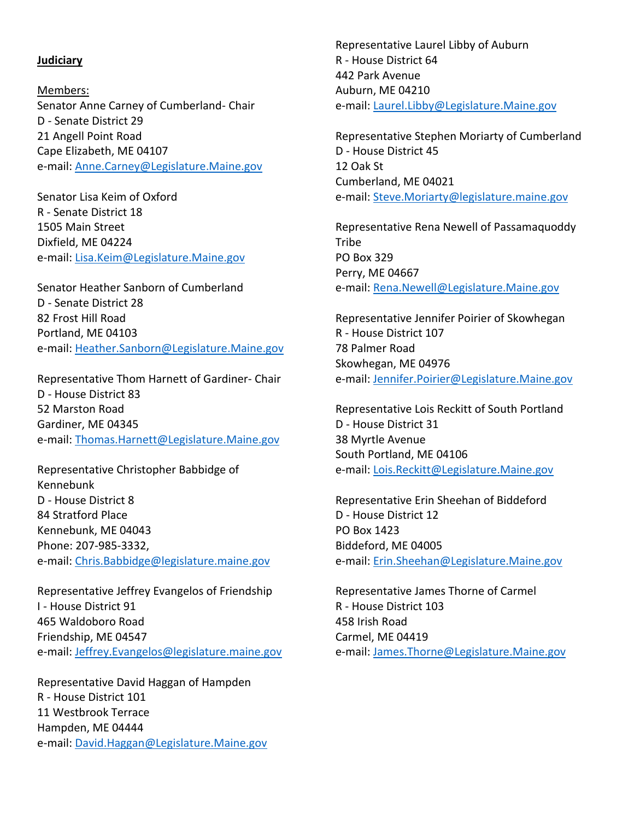#### **Judiciary**

Members: Senator Anne Carney of Cumberland- Chair D - Senate District 29 21 Angell Point Road Cape Elizabeth, ME 04107 e-mail: [Anne.Carney@Legislature.Maine.gov](mailto:Anne.Carney@Legislature.Maine.gov)

Senator Lisa Keim of Oxford R - Senate District 18 1505 Main Street Dixfield, ME 04224 e-mail: [Lisa.Keim@Legislature.Maine.gov](mailto:Lisa.Keim@Legislature.Maine.gov)

Senator Heather Sanborn of Cumberland D - Senate District 28 82 Frost Hill Road Portland, ME 04103 e-mail: [Heather.Sanborn@Legislature.Maine.gov](mailto:Heather.Sanborn@Legislature.Maine.gov)

Representative Thom Harnett of Gardiner- Chair D - House District 83 52 Marston Road Gardiner, ME 04345 e-mail: [Thomas.Harnett@Legislature.Maine.gov](mailto:Thomas.Harnett@Legislature.Maine.gov)

Representative Christopher Babbidge of Kennebunk D - House District 8 84 Stratford Place Kennebunk, ME 04043 Phone: 207-985-3332, e-mail: [Chris.Babbidge@legislature.maine.gov](mailto:Chris.Babbidge@legislature.maine.gov)

Representative Jeffrey Evangelos of Friendship I - House District 91 465 Waldoboro Road Friendship, ME 04547 e-mail: [Jeffrey.Evangelos@legislature.maine.gov](mailto:Jeffrey.Evangelos@legislature.maine.gov)

Representative David Haggan of Hampden R - House District 101 11 Westbrook Terrace Hampden, ME 04444 e-mail: [David.Haggan@Legislature.Maine.gov](mailto:David.Haggan@Legislature.Maine.gov) Representative Laurel Libby of Auburn R - House District 64 442 Park Avenue Auburn, ME 04210 e-mail: [Laurel.Libby@Legislature.Maine.gov](mailto:Laurel.Libby@Legislature.Maine.gov)

Representative Stephen Moriarty of Cumberland D - House District 45 12 Oak St Cumberland, ME 04021 e-mail: [Steve.Moriarty@legislature.maine.gov](mailto:Steve.Moriarty@legislature.maine.gov)

Representative Rena Newell of Passamaquoddy **Tribe** PO Box 329 Perry, ME 04667 e-mail: [Rena.Newell@Legislature.Maine.gov](mailto:Rena.Newell@Legislature.Maine.gov)

Representative Jennifer Poirier of Skowhegan R - House District 107 78 Palmer Road Skowhegan, ME 04976 e-mail: [Jennifer.Poirier@Legislature.Maine.gov](mailto:Jennifer.Poirier@Legislature.Maine.gov)

Representative Lois Reckitt of South Portland D - House District 31 38 Myrtle Avenue South Portland, ME 04106 e-mail: [Lois.Reckitt@Legislature.Maine.gov](mailto:Lois.Reckitt@Legislature.Maine.gov)

Representative Erin Sheehan of Biddeford D - House District 12 PO Box 1423 Biddeford, ME 04005 e-mail: [Erin.Sheehan@Legislature.Maine.gov](mailto:Erin.Sheehan@Legislature.Maine.gov)

Representative James Thorne of Carmel R - House District 103 458 Irish Road Carmel, ME 04419 e-mail: [James.Thorne@Legislature.Maine.gov](mailto:James.Thorne@Legislature.Maine.gov)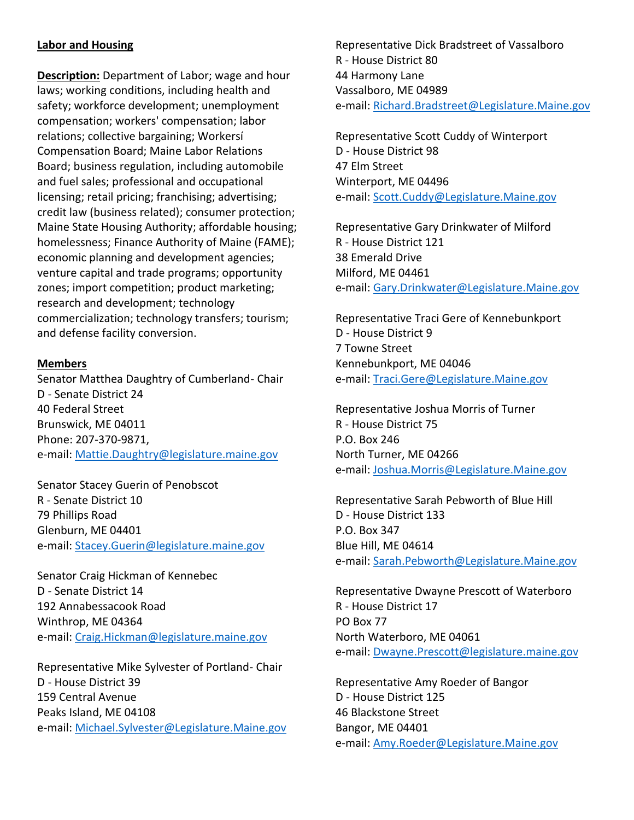## **Labor and Housing**

**Description:** Department of Labor; wage and hour laws; working conditions, including health and safety; workforce development; unemployment compensation; workers' compensation; labor relations; collective bargaining; Workersí Compensation Board; Maine Labor Relations Board; business regulation, including automobile and fuel sales; professional and occupational licensing; retail pricing; franchising; advertising; credit law (business related); consumer protection; Maine State Housing Authority; affordable housing; homelessness; Finance Authority of Maine (FAME); economic planning and development agencies; venture capital and trade programs; opportunity zones; import competition; product marketing; research and development; technology commercialization; technology transfers; tourism; and defense facility conversion.

## **Members**

Senator Matthea Daughtry of Cumberland- Chair D - Senate District 24 40 Federal Street Brunswick, ME 04011 Phone: 207-370-9871, e-mail: [Mattie.Daughtry@legislature.maine.gov](mailto:Mattie.Daughtry@legislature.maine.gov)

Senator Stacey Guerin of Penobscot R - Senate District 10 79 Phillips Road Glenburn, ME 04401 e-mail: [Stacey.Guerin@legislature.maine.gov](mailto:Stacey.Guerin@legislature.maine.gov)

Senator Craig Hickman of Kennebec D - Senate District 14 192 Annabessacook Road Winthrop, ME 04364 e-mail: [Craig.Hickman@legislature.maine.gov](mailto:Craig.Hickman@legislature.maine.gov)

Representative Mike Sylvester of Portland- Chair D - House District 39 159 Central Avenue Peaks Island, ME 04108 e-mail: [Michael.Sylvester@Legislature.Maine.gov](mailto:Michael.Sylvester@Legislature.Maine.gov) Representative Dick Bradstreet of Vassalboro R - House District 80 44 Harmony Lane Vassalboro, ME 04989 e-mail: [Richard.Bradstreet@Legislature.Maine.gov](mailto:Richard.Bradstreet@Legislature.Maine.gov)

Representative Scott Cuddy of Winterport D - House District 98 47 Elm Street Winterport, ME 04496 e-mail: [Scott.Cuddy@Legislature.Maine.gov](mailto:Scott.Cuddy@Legislature.Maine.gov)

Representative Gary Drinkwater of Milford R - House District 121 38 Emerald Drive Milford, ME 04461 e-mail: [Gary.Drinkwater@Legislature.Maine.gov](mailto:Gary.Drinkwater@Legislature.Maine.gov)

Representative Traci Gere of Kennebunkport D - House District 9 7 Towne Street Kennebunkport, ME 04046 e-mail: [Traci.Gere@Legislature.Maine.gov](mailto:Traci.Gere@Legislature.Maine.gov)

Representative Joshua Morris of Turner R - House District 75 P.O. Box 246 North Turner, ME 04266 e-mail: [Joshua.Morris@Legislature.Maine.gov](mailto:Joshua.Morris@Legislature.Maine.gov)

Representative Sarah Pebworth of Blue Hill D - House District 133 P.O. Box 347 Blue Hill, ME 04614 e-mail: [Sarah.Pebworth@Legislature.Maine.gov](mailto:Sarah.Pebworth@Legislature.Maine.gov)

Representative Dwayne Prescott of Waterboro R - House District 17 PO Box 77 North Waterboro, ME 04061 e-mail: [Dwayne.Prescott@legislature.maine.gov](mailto:Dwayne.Prescott@legislature.maine.gov)

Representative Amy Roeder of Bangor D - House District 125 46 Blackstone Street Bangor, ME 04401 e-mail: [Amy.Roeder@Legislature.Maine.gov](mailto:Amy.Roeder@Legislature.Maine.gov)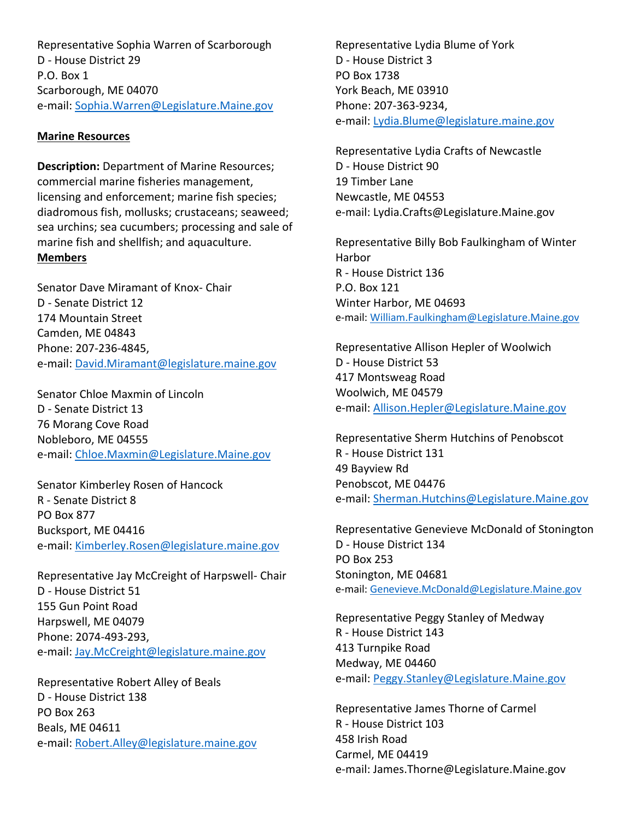Representative Sophia Warren of Scarborough D - House District 29 P.O. Box 1 Scarborough, ME 04070 e-mail: [Sophia.Warren@Legislature.Maine.gov](mailto:Sophia.Warren@Legislature.Maine.gov)

### **Marine Resources**

**Description:** Department of Marine Resources; commercial marine fisheries management, licensing and enforcement; marine fish species; diadromous fish, mollusks; crustaceans; seaweed; sea urchins; sea cucumbers; processing and sale of marine fish and shellfish; and aquaculture. **Members**

Senator Dave Miramant of Knox- Chair D - Senate District 12 174 Mountain Street Camden, ME 04843 Phone: 207-236-4845, e-mail: [David.Miramant@legislature.maine.gov](mailto:David.Miramant@legislature.maine.gov)

Senator Chloe Maxmin of Lincoln D - Senate District 13 76 Morang Cove Road Nobleboro, ME 04555 e-mail: [Chloe.Maxmin@Legislature.Maine.gov](mailto:Chloe.Maxmin@Legislature.Maine.gov)

Senator Kimberley Rosen of Hancock R - Senate District 8 PO Box 877 Bucksport, ME 04416 e-mail: [Kimberley.Rosen@legislature.maine.gov](mailto:Kimberley.Rosen@legislature.maine.gov)

Representative Jay McCreight of Harpswell- Chair D - House District 51 155 Gun Point Road Harpswell, ME 04079 Phone: 2074-493-293, e-mail: [Jay.McCreight@legislature.maine.gov](mailto:Jay.McCreight@legislature.maine.gov)

Representative Robert Alley of Beals D - House District 138 PO Box 263 Beals, ME 04611 e-mail: [Robert.Alley@legislature.maine.gov](mailto:Robert.Alley@legislature.maine.gov) Representative Lydia Blume of York D - House District 3 PO Box 1738 York Beach, ME 03910 Phone: 207-363-9234, e-mail: [Lydia.Blume@legislature.maine.gov](mailto:Lydia.Blume@legislature.maine.gov)

Representative Lydia Crafts of Newcastle D - House District 90 19 Timber Lane Newcastle, ME 04553 e-mail: Lydia.Crafts@Legislature.Maine.gov

Representative Billy Bob Faulkingham of Winter Harbor R - House District 136 P.O. Box 121 Winter Harbor, ME 04693 e-mail: [William.Faulkingham@Legislature.Maine.gov](mailto:William.Faulkingham@Legislature.Maine.gov)

Representative Allison Hepler of Woolwich D - House District 53 417 Montsweag Road Woolwich, ME 04579 e-mail: [Allison.Hepler@Legislature.Maine.gov](mailto:Allison.Hepler@Legislature.Maine.gov)

Representative Sherm Hutchins of Penobscot R - House District 131 49 Bayview Rd Penobscot, ME 04476 e-mail: [Sherman.Hutchins@Legislature.Maine.gov](mailto:Sherman.Hutchins@Legislature.Maine.gov)

Representative Genevieve McDonald of Stonington D - House District 134 PO Box 253 Stonington, ME 04681 e-mail: [Genevieve.McDonald@Legislature.Maine.gov](mailto:Genevieve.McDonald@Legislature.Maine.gov)

Representative Peggy Stanley of Medway R - House District 143 413 Turnpike Road Medway, ME 04460 e-mail: [Peggy.Stanley@Legislature.Maine.gov](mailto:Peggy.Stanley@Legislature.Maine.gov)

Representative James Thorne of Carmel R - House District 103 458 Irish Road Carmel, ME 04419 e-mail: James.Thorne@Legislature.Maine.gov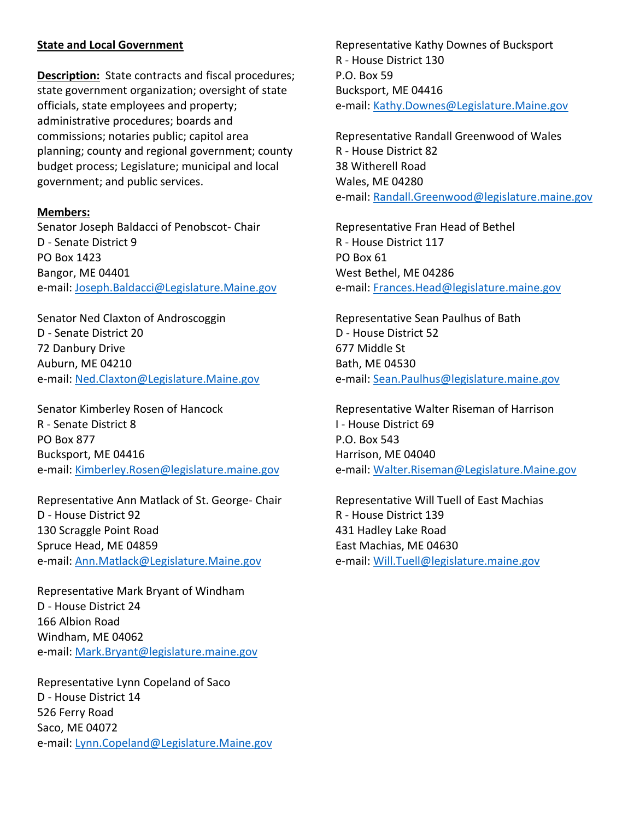## **State and Local Government**

**Description:** State contracts and fiscal procedures; state government organization; oversight of state officials, state employees and property; administrative procedures; boards and commissions; notaries public; capitol area planning; county and regional government; county budget process; Legislature; municipal and local government; and public services.

#### **Members:**

Senator Joseph Baldacci of Penobscot- Chair D - Senate District 9 PO Box 1423 Bangor, ME 04401 e-mail: [Joseph.Baldacci@Legislature.Maine.gov](mailto:Joseph.Baldacci@Legislature.Maine.gov)

Senator Ned Claxton of Androscoggin D - Senate District 20 72 Danbury Drive Auburn, ME 04210 e-mail: [Ned.Claxton@Legislature.Maine.gov](mailto:Ned.Claxton@Legislature.Maine.gov)

Senator Kimberley Rosen of Hancock R - Senate District 8 PO Box 877 Bucksport, ME 04416 e-mail: [Kimberley.Rosen@legislature.maine.gov](mailto:Kimberley.Rosen@legislature.maine.gov)

Representative Ann Matlack of St. George- Chair D - House District 92 130 Scraggle Point Road Spruce Head, ME 04859 e-mail: [Ann.Matlack@Legislature.Maine.gov](mailto:Ann.Matlack@Legislature.Maine.gov)

Representative Mark Bryant of Windham D - House District 24 166 Albion Road Windham, ME 04062 e-mail: [Mark.Bryant@legislature.maine.gov](mailto:Mark.Bryant@legislature.maine.gov)

Representative Lynn Copeland of Saco D - House District 14 526 Ferry Road Saco, ME 04072 e-mail: [Lynn.Copeland@Legislature.Maine.gov](mailto:Lynn.Copeland@Legislature.Maine.gov) Representative Kathy Downes of Bucksport R - House District 130 P.O. Box 59 Bucksport, ME 04416 e-mail: [Kathy.Downes@Legislature.Maine.gov](mailto:Kathy.Downes@Legislature.Maine.gov)

Representative Randall Greenwood of Wales R - House District 82 38 Witherell Road Wales, ME 04280 e-mail: [Randall.Greenwood@legislature.maine.gov](mailto:Randall.Greenwood@legislature.maine.gov)

Representative Fran Head of Bethel R - House District 117 PO Box 61 West Bethel, ME 04286 e-mail: [Frances.Head@legislature.maine.gov](mailto:Frances.Head@legislature.maine.gov)

Representative Sean Paulhus of Bath D - House District 52 677 Middle St Bath, ME 04530 e-mail: [Sean.Paulhus@legislature.maine.gov](mailto:Sean.Paulhus@legislature.maine.gov)

Representative Walter Riseman of Harrison I - House District 69 P.O. Box 543 Harrison, ME 04040 e-mail: [Walter.Riseman@Legislature.Maine.gov](mailto:Walter.Riseman@Legislature.Maine.gov)

Representative Will Tuell of East Machias R - House District 139 431 Hadley Lake Road East Machias, ME 04630 e-mail: [Will.Tuell@legislature.maine.gov](mailto:Will.Tuell@legislature.maine.gov)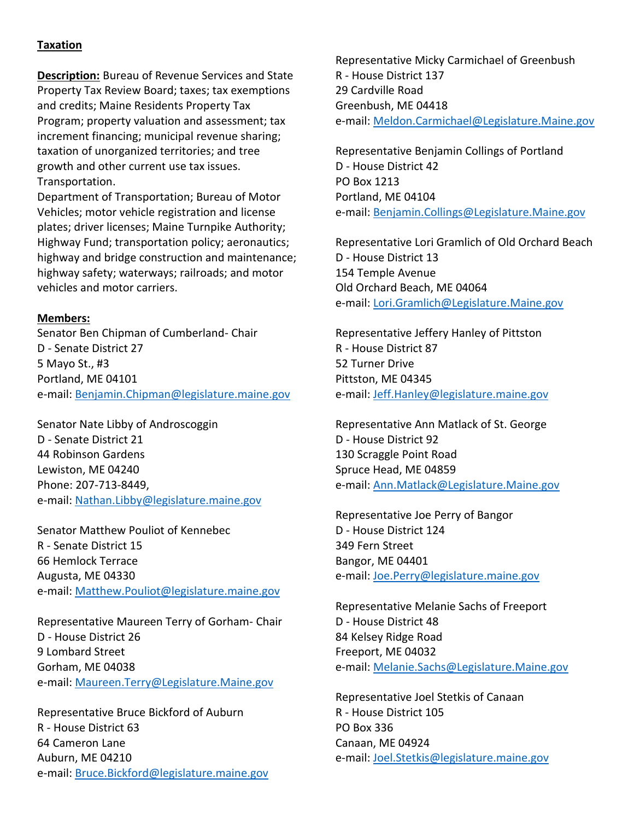## **Taxation**

**Description:** Bureau of Revenue Services and State Property Tax Review Board; taxes; tax exemptions and credits; Maine Residents Property Tax Program; property valuation and assessment; tax increment financing; municipal revenue sharing; taxation of unorganized territories; and tree growth and other current use tax issues. Transportation.

Department of Transportation; Bureau of Motor Vehicles; motor vehicle registration and license plates; driver licenses; Maine Turnpike Authority; Highway Fund; transportation policy; aeronautics; highway and bridge construction and maintenance; highway safety; waterways; railroads; and motor vehicles and motor carriers.

#### **Members:**

Senator Ben Chipman of Cumberland- Chair D - Senate District 27 5 Mayo St., #3 Portland, ME 04101 e-mail: [Benjamin.Chipman@legislature.maine.gov](mailto:Benjamin.Chipman@legislature.maine.gov)

Senator Nate Libby of Androscoggin D - Senate District 21 44 Robinson Gardens Lewiston, ME 04240 Phone: 207-713-8449, e-mail: [Nathan.Libby@legislature.maine.gov](mailto:Nathan.Libby@legislature.maine.gov)

Senator Matthew Pouliot of Kennebec R - Senate District 15 66 Hemlock Terrace Augusta, ME 04330 e-mail: [Matthew.Pouliot@legislature.maine.gov](mailto:Matthew.Pouliot@legislature.maine.gov)

Representative Maureen Terry of Gorham- Chair D - House District 26 9 Lombard Street Gorham, ME 04038 e-mail: [Maureen.Terry@Legislature.Maine.gov](mailto:Maureen.Terry@Legislature.Maine.gov)

Representative Bruce Bickford of Auburn R - House District 63 64 Cameron Lane Auburn, ME 04210 e-mail: [Bruce.Bickford@legislature.maine.gov](mailto:Bruce.Bickford@legislature.maine.gov) Representative Micky Carmichael of Greenbush R - House District 137 29 Cardville Road Greenbush, ME 04418 e-mail: [Meldon.Carmichael@Legislature.Maine.gov](mailto:Meldon.Carmichael@Legislature.Maine.gov)

Representative Benjamin Collings of Portland D - House District 42 PO Box 1213 Portland, ME 04104 e-mail: [Benjamin.Collings@Legislature.Maine.gov](mailto:Benjamin.Collings@Legislature.Maine.gov)

Representative Lori Gramlich of Old Orchard Beach D - House District 13 154 Temple Avenue Old Orchard Beach, ME 04064 e-mail: [Lori.Gramlich@Legislature.Maine.gov](mailto:Lori.Gramlich@Legislature.Maine.gov)

Representative Jeffery Hanley of Pittston R - House District 87 52 Turner Drive Pittston, ME 04345 e-mail: [Jeff.Hanley@legislature.maine.gov](mailto:Jeff.Hanley@legislature.maine.gov)

Representative Ann Matlack of St. George D - House District 92 130 Scraggle Point Road Spruce Head, ME 04859 e-mail: [Ann.Matlack@Legislature.Maine.gov](mailto:Ann.Matlack@Legislature.Maine.gov)

Representative Joe Perry of Bangor D - House District 124 349 Fern Street Bangor, ME 04401 e-mail: [Joe.Perry@legislature.maine.gov](mailto:Joe.Perry@legislature.maine.gov)

Representative Melanie Sachs of Freeport D - House District 48 84 Kelsey Ridge Road Freeport, ME 04032 e-mail: [Melanie.Sachs@Legislature.Maine.gov](mailto:Melanie.Sachs@Legislature.Maine.gov)

Representative Joel Stetkis of Canaan R - House District 105 PO Box 336 Canaan, ME 04924 e-mail: [Joel.Stetkis@legislature.maine.gov](mailto:Joel.Stetkis@legislature.maine.gov)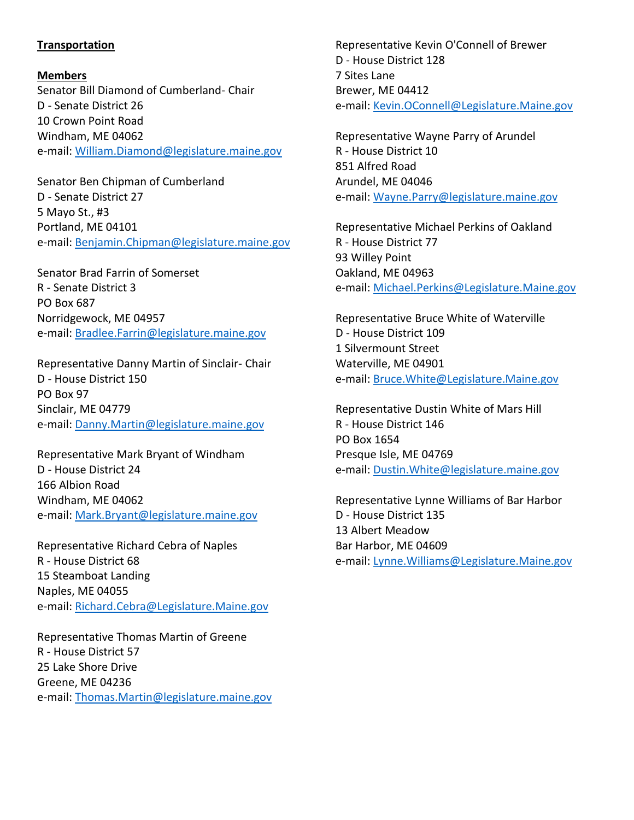## **Transportation**

**Members** Senator Bill Diamond of Cumberland- Chair D - Senate District 26 10 Crown Point Road Windham, ME 04062 e-mail: [William.Diamond@legislature.maine.gov](mailto:William.Diamond@legislature.maine.gov)

Senator Ben Chipman of Cumberland D - Senate District 27 5 Mayo St., #3 Portland, ME 04101 e-mail: [Benjamin.Chipman@legislature.maine.gov](mailto:Benjamin.Chipman@legislature.maine.gov)

Senator Brad Farrin of Somerset R - Senate District 3 PO Box 687 Norridgewock, ME 04957 e-mail: [Bradlee.Farrin@legislature.maine.gov](mailto:Bradlee.Farrin@legislature.maine.gov)

Representative Danny Martin of Sinclair- Chair D - House District 150 PO Box 97 Sinclair, ME 04779 e-mail: [Danny.Martin@legislature.maine.gov](mailto:Danny.Martin@legislature.maine.gov)

Representative Mark Bryant of Windham D - House District 24 166 Albion Road Windham, ME 04062 e-mail: [Mark.Bryant@legislature.maine.gov](mailto:Mark.Bryant@legislature.maine.gov)

Representative Richard Cebra of Naples R - House District 68 15 Steamboat Landing Naples, ME 04055 e-mail: [Richard.Cebra@Legislature.Maine.gov](mailto:Richard.Cebra@Legislature.Maine.gov)

Representative Thomas Martin of Greene R - House District 57 25 Lake Shore Drive Greene, ME 04236 e-mail: [Thomas.Martin@legislature.maine.gov](mailto:Thomas.Martin@legislature.maine.gov) Representative Kevin O'Connell of Brewer D - House District 128 7 Sites Lane Brewer, ME 04412 e-mail: [Kevin.OConnell@Legislature.Maine.gov](mailto:Kevin.OConnell@Legislature.Maine.gov)

Representative Wayne Parry of Arundel R - House District 10 851 Alfred Road Arundel, ME 04046 e-mail: [Wayne.Parry@legislature.maine.gov](mailto:Wayne.Parry@legislature.maine.gov)

Representative Michael Perkins of Oakland R - House District 77 93 Willey Point Oakland, ME 04963 e-mail: [Michael.Perkins@Legislature.Maine.gov](mailto:Michael.Perkins@Legislature.Maine.gov)

Representative Bruce White of Waterville D - House District 109 1 Silvermount Street Waterville, ME 04901 e-mail: [Bruce.White@Legislature.Maine.gov](mailto:Bruce.White@Legislature.Maine.gov)

Representative Dustin White of Mars Hill R - House District 146 PO Box 1654 Presque Isle, ME 04769 e-mail: [Dustin.White@legislature.maine.gov](mailto:Dustin.White@legislature.maine.gov)

Representative Lynne Williams of Bar Harbor D - House District 135 13 Albert Meadow Bar Harbor, ME 04609 e-mail: [Lynne.Williams@Legislature.Maine.gov](mailto:Lynne.Williams@Legislature.Maine.gov)